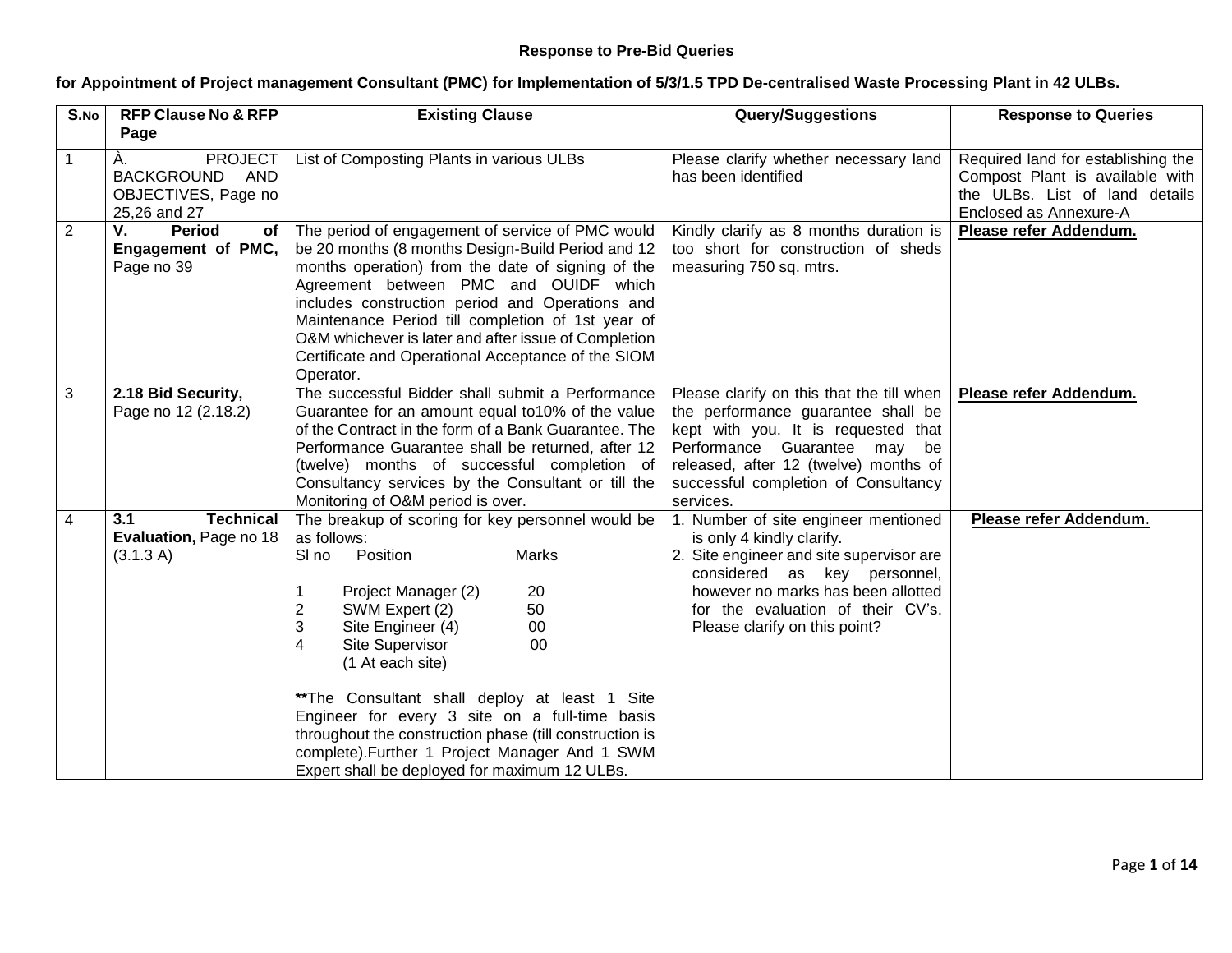## **Response to Pre-Bid Queries**

## **for Appointment of Project management Consultant (PMC) for Implementation of 5/3/1.5 TPD De-centralised Waste Processing Plant in 42 ULBs.**

| S.No           | <b>RFP Clause No &amp; RFP</b>                                                                         | <b>Existing Clause</b>                                                                                                                                                                                                                                                                                                                                                                                                                                                                                                                   | Query/Suggestions                                                                                                                                                                                                                                         | <b>Response to Queries</b>                                                                                                        |
|----------------|--------------------------------------------------------------------------------------------------------|------------------------------------------------------------------------------------------------------------------------------------------------------------------------------------------------------------------------------------------------------------------------------------------------------------------------------------------------------------------------------------------------------------------------------------------------------------------------------------------------------------------------------------------|-----------------------------------------------------------------------------------------------------------------------------------------------------------------------------------------------------------------------------------------------------------|-----------------------------------------------------------------------------------------------------------------------------------|
| 1              | Page<br>À.<br><b>PROJECT</b><br><b>BACKGROUND</b><br><b>AND</b><br>OBJECTIVES, Page no<br>25,26 and 27 | List of Composting Plants in various ULBs                                                                                                                                                                                                                                                                                                                                                                                                                                                                                                | Please clarify whether necessary land<br>has been identified                                                                                                                                                                                              | Required land for establishing the<br>Compost Plant is available with<br>the ULBs. List of land details<br>Enclosed as Annexure-A |
| $\overline{2}$ | <b>Period</b><br>V.<br>$of \sqrt{}$<br>Engagement of PMC,<br>Page no 39                                | The period of engagement of service of PMC would<br>be 20 months (8 months Design-Build Period and 12<br>months operation) from the date of signing of the<br>Agreement between PMC and OUIDF which<br>includes construction period and Operations and<br>Maintenance Period till completion of 1st year of<br>O&M whichever is later and after issue of Completion<br>Certificate and Operational Acceptance of the SIOM<br>Operator.                                                                                                   | Kindly clarify as 8 months duration is<br>too short for construction of sheds<br>measuring 750 sq. mtrs.                                                                                                                                                  | Please refer Addendum.                                                                                                            |
| 3              | 2.18 Bid Security,<br>Page no 12 (2.18.2)                                                              | The successful Bidder shall submit a Performance<br>Guarantee for an amount equal to 10% of the value<br>of the Contract in the form of a Bank Guarantee. The<br>Performance Guarantee shall be returned, after 12<br>(twelve) months of successful completion of<br>Consultancy services by the Consultant or till the<br>Monitoring of O&M period is over.                                                                                                                                                                             | Please clarify on this that the till when<br>the performance guarantee shall be<br>kept with you. It is requested that<br>Performance Guarantee may be<br>released, after 12 (twelve) months of<br>successful completion of Consultancy<br>services.      | Please refer Addendum.                                                                                                            |
| 4              | <b>Technical</b><br>3.1<br>Evaluation, Page no 18<br>(3.1.3 A)                                         | The breakup of scoring for key personnel would be<br>as follows:<br>Position<br><b>Marks</b><br>SI no<br>Project Manager (2)<br>20<br>$\overline{\mathbf{c}}$<br>50<br>SWM Expert (2)<br>3<br>Site Engineer (4)<br>00<br>4<br>Site Supervisor<br>00<br>(1 At each site)<br>**The Consultant shall deploy at least 1 Site<br>Engineer for every 3 site on a full-time basis<br>throughout the construction phase (till construction is<br>complete). Further 1 Project Manager And 1 SWM<br>Expert shall be deployed for maximum 12 ULBs. | 1. Number of site engineer mentioned<br>is only 4 kindly clarify.<br>2. Site engineer and site supervisor are<br>considered as key personnel,<br>however no marks has been allotted<br>for the evaluation of their CV's.<br>Please clarify on this point? | Please refer Addendum.                                                                                                            |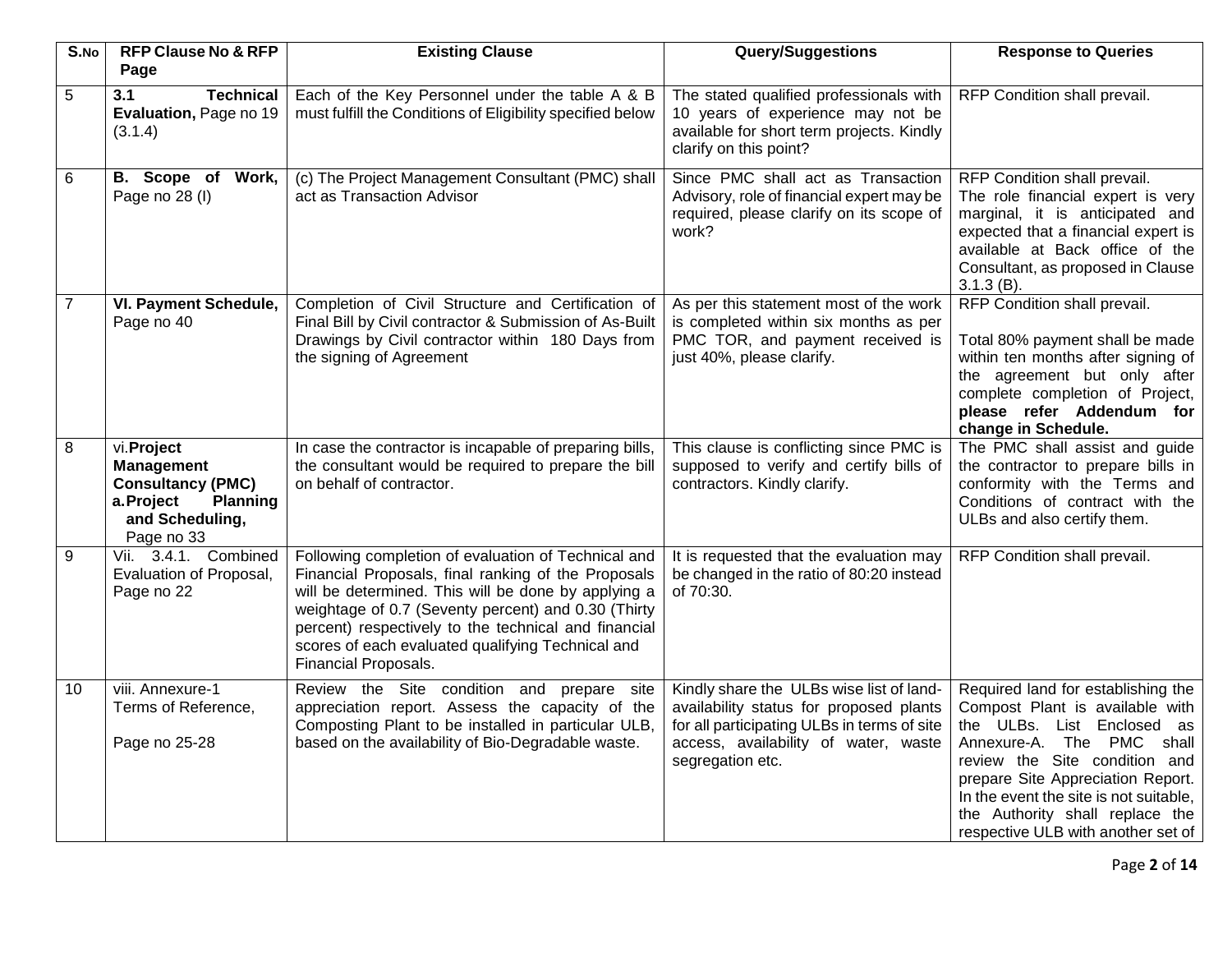| S.No           | <b>RFP Clause No &amp; RFP</b><br>Page                                                                                       | <b>Existing Clause</b>                                                                                                                                                                                                                                                                                                                                        | Query/Suggestions                                                                                                                                                                              | <b>Response to Queries</b>                                                                                                                                                                                                                                                                                                |  |  |
|----------------|------------------------------------------------------------------------------------------------------------------------------|---------------------------------------------------------------------------------------------------------------------------------------------------------------------------------------------------------------------------------------------------------------------------------------------------------------------------------------------------------------|------------------------------------------------------------------------------------------------------------------------------------------------------------------------------------------------|---------------------------------------------------------------------------------------------------------------------------------------------------------------------------------------------------------------------------------------------------------------------------------------------------------------------------|--|--|
| 5              | 3.1<br><b>Technical</b><br>Evaluation, Page no 19<br>(3.1.4)                                                                 | Each of the Key Personnel under the table A & B<br>must fulfill the Conditions of Eligibility specified below                                                                                                                                                                                                                                                 | The stated qualified professionals with<br>RFP Condition shall prevail.<br>10 years of experience may not be<br>available for short term projects. Kindly<br>clarify on this point?            |                                                                                                                                                                                                                                                                                                                           |  |  |
| 6              | B. Scope of Work,<br>Page no 28 (I)                                                                                          | (c) The Project Management Consultant (PMC) shall<br>act as Transaction Advisor                                                                                                                                                                                                                                                                               | Since PMC shall act as Transaction<br>Advisory, role of financial expert may be<br>required, please clarify on its scope of<br>work?                                                           | RFP Condition shall prevail.<br>The role financial expert is very<br>marginal, it is anticipated and<br>expected that a financial expert is<br>available at Back office of the<br>Consultant, as proposed in Clause<br>$3.1.3(B)$ .                                                                                       |  |  |
| $\overline{7}$ | VI. Payment Schedule,<br>Page no 40                                                                                          | Completion of Civil Structure and Certification of<br>As per this statement most of the work<br>Final Bill by Civil contractor & Submission of As-Built<br>is completed within six months as per<br>Drawings by Civil contractor within 180 Days from<br>PMC TOR, and payment received is<br>the signing of Agreement<br>just 40%, please clarify.            |                                                                                                                                                                                                | RFP Condition shall prevail.<br>Total 80% payment shall be made<br>within ten months after signing of<br>the agreement but only after<br>complete completion of Project,<br>please refer Addendum for<br>change in Schedule.                                                                                              |  |  |
| 8              | vi.Project<br><b>Management</b><br><b>Consultancy (PMC)</b><br><b>Planning</b><br>a.Project<br>and Scheduling,<br>Page no 33 | In case the contractor is incapable of preparing bills,<br>the consultant would be required to prepare the bill<br>on behalf of contractor.                                                                                                                                                                                                                   | This clause is conflicting since PMC is<br>supposed to verify and certify bills of<br>contractors. Kindly clarify.                                                                             | The PMC shall assist and guide<br>the contractor to prepare bills in<br>conformity with the Terms and<br>Conditions of contract with the<br>ULBs and also certify them.                                                                                                                                                   |  |  |
| 9              | Vii. 3.4.1. Combined<br>Evaluation of Proposal,<br>Page no 22                                                                | Following completion of evaluation of Technical and<br>Financial Proposals, final ranking of the Proposals<br>will be determined. This will be done by applying a<br>weightage of 0.7 (Seventy percent) and 0.30 (Thirty<br>percent) respectively to the technical and financial<br>scores of each evaluated qualifying Technical and<br>Financial Proposals. | It is requested that the evaluation may<br>be changed in the ratio of 80:20 instead<br>of 70:30.                                                                                               | RFP Condition shall prevail.                                                                                                                                                                                                                                                                                              |  |  |
| 10             | viii. Annexure-1<br>Terms of Reference,<br>Page no 25-28                                                                     | Review the Site condition and prepare site<br>appreciation report. Assess the capacity of the<br>Composting Plant to be installed in particular ULB,<br>based on the availability of Bio-Degradable waste.                                                                                                                                                    | Kindly share the ULBs wise list of land-<br>availability status for proposed plants<br>for all participating ULBs in terms of site<br>access, availability of water, waste<br>segregation etc. | Required land for establishing the<br>Compost Plant is available with<br>the ULBs. List Enclosed as<br>Annexure-A. The PMC shall<br>review the Site condition and<br>prepare Site Appreciation Report.<br>In the event the site is not suitable,<br>the Authority shall replace the<br>respective ULB with another set of |  |  |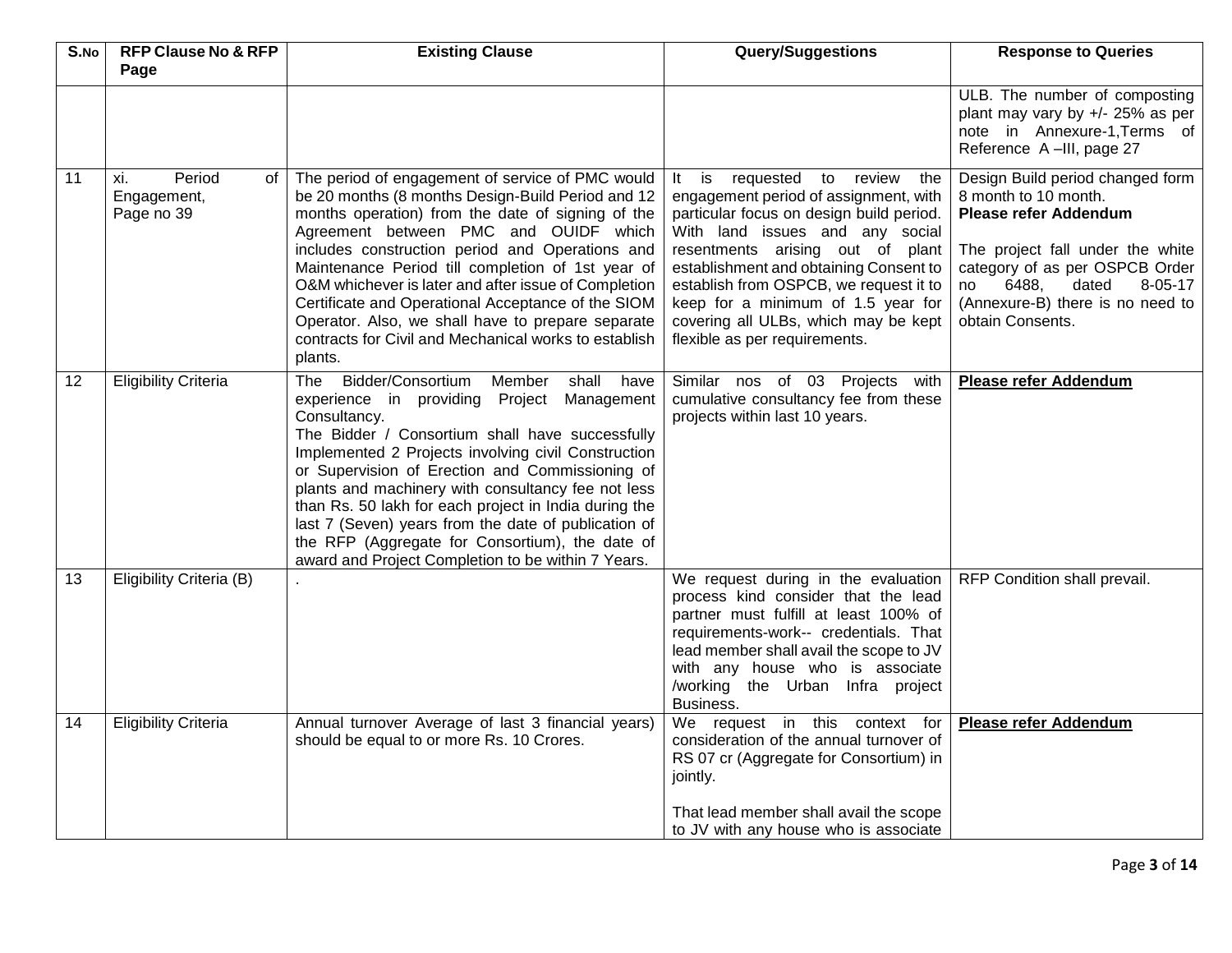| S.No | <b>RFP Clause No &amp; RFP</b>                     | <b>Existing Clause</b><br><b>Query/Suggestions</b>                                                                                                                                                                                                                                                                                                                                                                                                                                                                                                          |                                                                                                                                                                                                                                                                                                                                                                                                          | <b>Response to Queries</b>                                                                                                                                                                                                                                   |
|------|----------------------------------------------------|-------------------------------------------------------------------------------------------------------------------------------------------------------------------------------------------------------------------------------------------------------------------------------------------------------------------------------------------------------------------------------------------------------------------------------------------------------------------------------------------------------------------------------------------------------------|----------------------------------------------------------------------------------------------------------------------------------------------------------------------------------------------------------------------------------------------------------------------------------------------------------------------------------------------------------------------------------------------------------|--------------------------------------------------------------------------------------------------------------------------------------------------------------------------------------------------------------------------------------------------------------|
|      | Page                                               |                                                                                                                                                                                                                                                                                                                                                                                                                                                                                                                                                             |                                                                                                                                                                                                                                                                                                                                                                                                          |                                                                                                                                                                                                                                                              |
|      |                                                    |                                                                                                                                                                                                                                                                                                                                                                                                                                                                                                                                                             |                                                                                                                                                                                                                                                                                                                                                                                                          | ULB. The number of composting<br>plant may vary by +/- 25% as per<br>note in Annexure-1, Terms of<br>Reference A-III, page 27                                                                                                                                |
| 11   | Period<br>xi.<br>of l<br>Engagement,<br>Page no 39 | The period of engagement of service of PMC would<br>be 20 months (8 months Design-Build Period and 12<br>months operation) from the date of signing of the<br>Agreement between PMC and OUIDF which<br>includes construction period and Operations and<br>Maintenance Period till completion of 1st year of<br>O&M whichever is later and after issue of Completion<br>Certificate and Operational Acceptance of the SIOM<br>Operator. Also, we shall have to prepare separate<br>contracts for Civil and Mechanical works to establish<br>plants.          | It<br>is<br>requested to<br>review<br>the<br>engagement period of assignment, with<br>particular focus on design build period.<br>With land issues and any social<br>resentments arising out of plant<br>establishment and obtaining Consent to<br>establish from OSPCB, we request it to<br>keep for a minimum of 1.5 year for<br>covering all ULBs, which may be kept<br>flexible as per requirements. | Design Build period changed form<br>8 month to 10 month.<br><b>Please refer Addendum</b><br>The project fall under the white<br>category of as per OSPCB Order<br>no 6488,<br>dated<br>$8 - 05 - 17$<br>(Annexure-B) there is no need to<br>obtain Consents. |
| 12   | <b>Eligibility Criteria</b>                        | Bidder/Consortium<br>Member<br>shall have<br>The<br>experience in providing Project Management<br>Consultancy.<br>The Bidder / Consortium shall have successfully<br>Implemented 2 Projects involving civil Construction<br>or Supervision of Erection and Commissioning of<br>plants and machinery with consultancy fee not less<br>than Rs. 50 lakh for each project in India during the<br>last 7 (Seven) years from the date of publication of<br>the RFP (Aggregate for Consortium), the date of<br>award and Project Completion to be within 7 Years. | Similar nos of 03 Projects with<br>cumulative consultancy fee from these<br>projects within last 10 years.                                                                                                                                                                                                                                                                                               | <b>Please refer Addendum</b>                                                                                                                                                                                                                                 |
| 13   | Eligibility Criteria (B)                           |                                                                                                                                                                                                                                                                                                                                                                                                                                                                                                                                                             | We request during in the evaluation<br>process kind consider that the lead<br>partner must fulfill at least 100% of<br>requirements-work-- credentials. That<br>lead member shall avail the scope to JV<br>with any house who is associate<br>/working the Urban Infra project<br>Business.                                                                                                              | RFP Condition shall prevail.                                                                                                                                                                                                                                 |
| 14   | <b>Eligibility Criteria</b>                        | Annual turnover Average of last 3 financial years)<br>should be equal to or more Rs. 10 Crores.                                                                                                                                                                                                                                                                                                                                                                                                                                                             | We request in this context for<br>consideration of the annual turnover of<br>RS 07 cr (Aggregate for Consortium) in<br>jointly.<br>That lead member shall avail the scope<br>to JV with any house who is associate                                                                                                                                                                                       | <b>Please refer Addendum</b>                                                                                                                                                                                                                                 |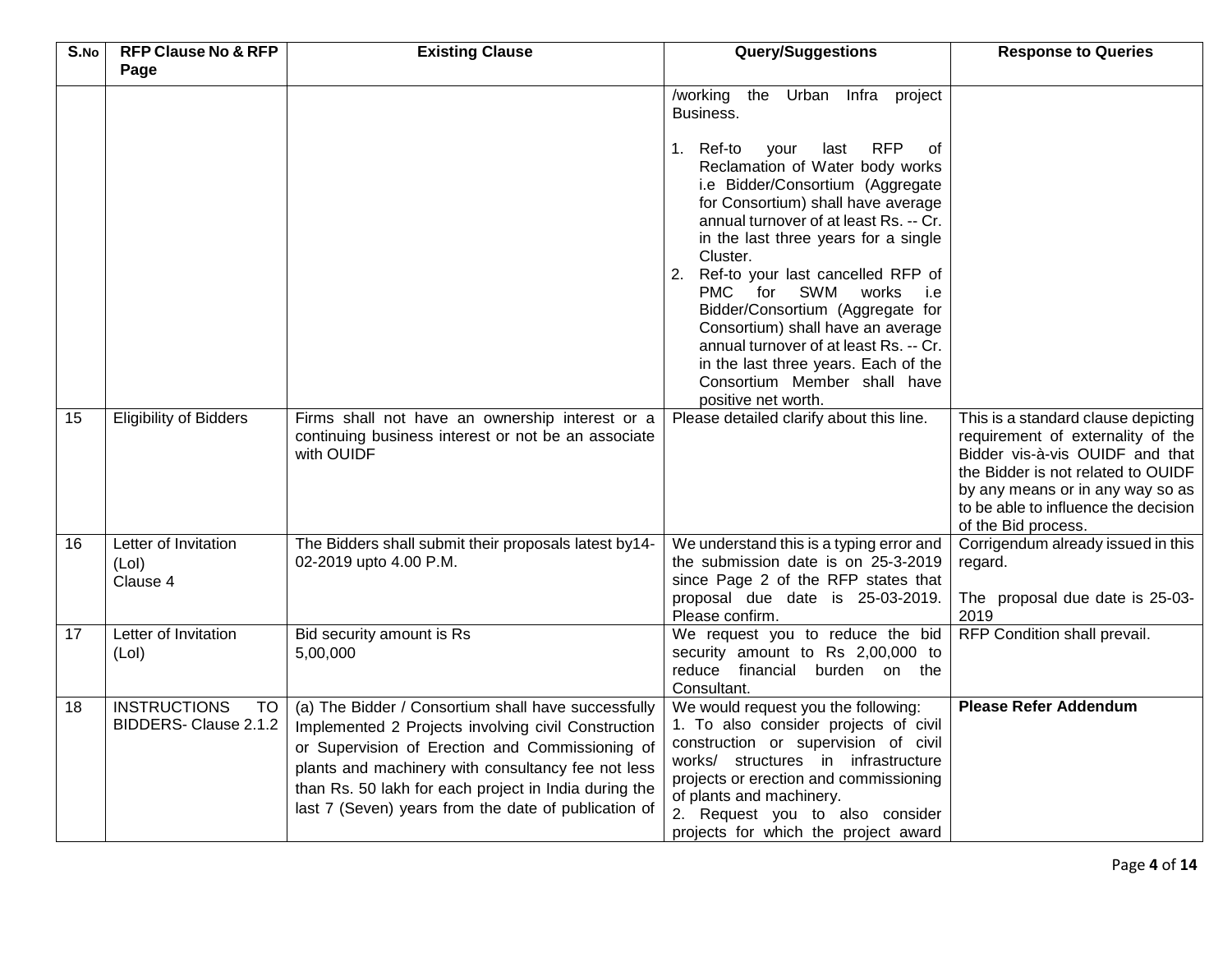| S.No | <b>RFP Clause No &amp; RFP</b><br>Page            | <b>Existing Clause</b>                                                                                                                                                                                                                                                                                                               | <b>Query/Suggestions</b>                                                                                                                                                                                                                                                                                                                                                                                                                                                                                                                                                                                                                       | <b>Response to Queries</b>                                                                                                                                                                                    |
|------|---------------------------------------------------|--------------------------------------------------------------------------------------------------------------------------------------------------------------------------------------------------------------------------------------------------------------------------------------------------------------------------------------|------------------------------------------------------------------------------------------------------------------------------------------------------------------------------------------------------------------------------------------------------------------------------------------------------------------------------------------------------------------------------------------------------------------------------------------------------------------------------------------------------------------------------------------------------------------------------------------------------------------------------------------------|---------------------------------------------------------------------------------------------------------------------------------------------------------------------------------------------------------------|
| 15   | <b>Eligibility of Bidders</b>                     | Firms shall not have an ownership interest or a                                                                                                                                                                                                                                                                                      | the Urban Infra project<br>/working<br>Business.<br><b>RFP</b><br>1. Ref-to<br>your<br>last<br>0f<br>Reclamation of Water body works<br>i.e Bidder/Consortium (Aggregate<br>for Consortium) shall have average<br>annual turnover of at least Rs. -- Cr.<br>in the last three years for a single<br>Cluster.<br>2. Ref-to your last cancelled RFP of<br>PMC for SWM works<br>i.e<br>Bidder/Consortium (Aggregate for<br>Consortium) shall have an average<br>annual turnover of at least Rs. -- Cr.<br>in the last three years. Each of the<br>Consortium Member shall have<br>positive net worth.<br>Please detailed clarify about this line. | This is a standard clause depicting                                                                                                                                                                           |
|      |                                                   | continuing business interest or not be an associate<br>with OUIDF                                                                                                                                                                                                                                                                    |                                                                                                                                                                                                                                                                                                                                                                                                                                                                                                                                                                                                                                                | requirement of externality of the<br>Bidder vis-à-vis OUIDF and that<br>the Bidder is not related to OUIDF<br>by any means or in any way so as<br>to be able to influence the decision<br>of the Bid process. |
| 16   | Letter of Invitation<br>(Lol)<br>Clause 4         | The Bidders shall submit their proposals latest by14-<br>02-2019 upto 4.00 P.M.                                                                                                                                                                                                                                                      | We understand this is a typing error and<br>the submission date is on 25-3-2019<br>since Page 2 of the RFP states that<br>proposal due date is 25-03-2019.<br>Please confirm.                                                                                                                                                                                                                                                                                                                                                                                                                                                                  | Corrigendum already issued in this<br>regard.<br>The proposal due date is 25-03-<br>2019                                                                                                                      |
| 17   | Letter of Invitation<br>(Lol)                     | Bid security amount is Rs<br>5,00,000                                                                                                                                                                                                                                                                                                | We request you to reduce the bid<br>security amount to Rs 2,00,000 to<br>reduce financial burden on the<br>Consultant.                                                                                                                                                                                                                                                                                                                                                                                                                                                                                                                         | RFP Condition shall prevail.                                                                                                                                                                                  |
| 18   | <b>INSTRUCTIONS</b><br>TO<br>BIDDERS-Clause 2.1.2 | (a) The Bidder / Consortium shall have successfully<br>Implemented 2 Projects involving civil Construction<br>or Supervision of Erection and Commissioning of<br>plants and machinery with consultancy fee not less<br>than Rs. 50 lakh for each project in India during the<br>last 7 (Seven) years from the date of publication of | We would request you the following:<br>1. To also consider projects of civil<br>construction or supervision of civil<br>works/ structures in infrastructure<br>projects or erection and commissioning<br>of plants and machinery.<br>2. Request you to also consider<br>projects for which the project award                                                                                                                                                                                                                                                                                                                                   | <b>Please Refer Addendum</b>                                                                                                                                                                                  |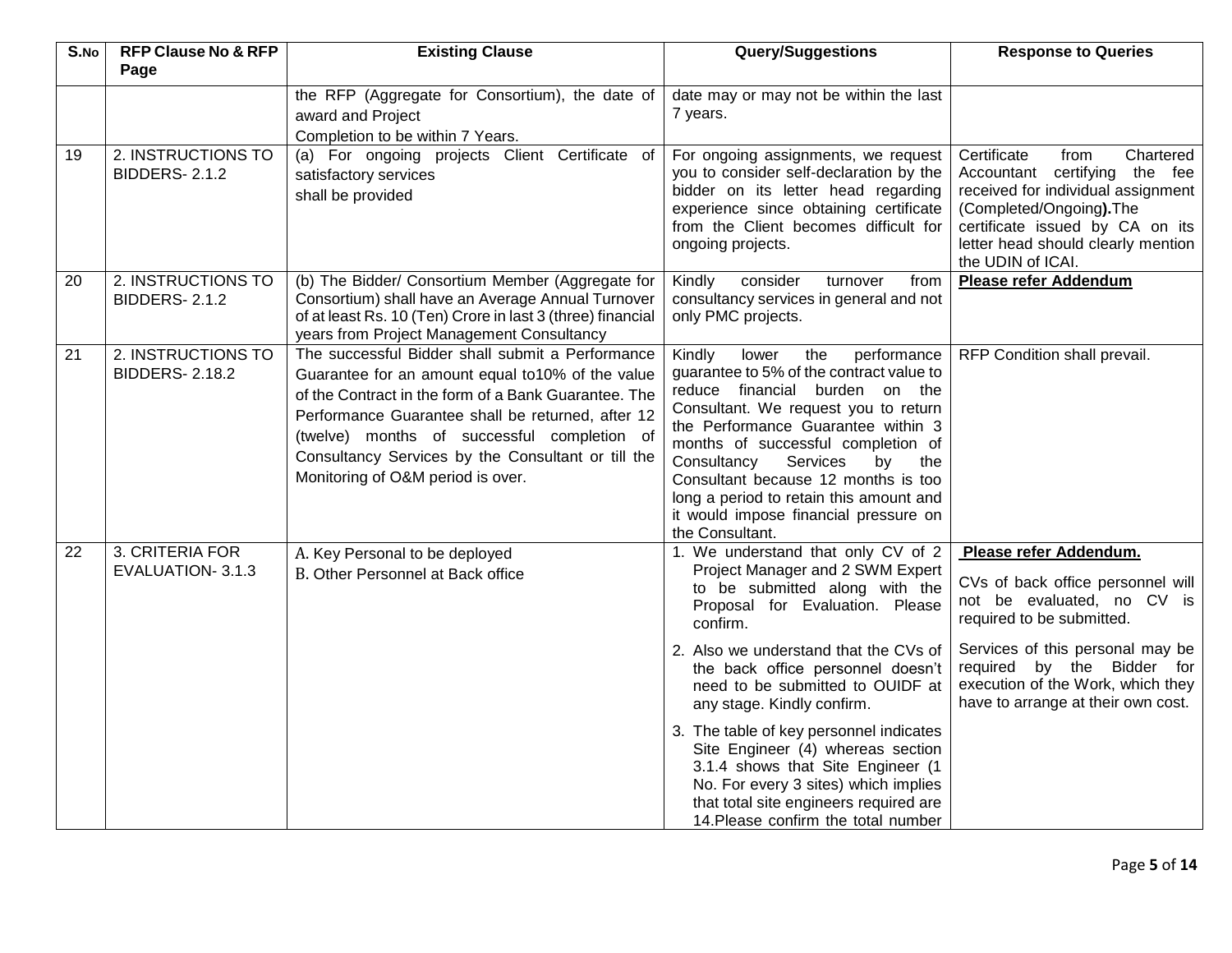| S.No | <b>RFP Clause No &amp; RFP</b>              | <b>Existing Clause</b>                                                                                                                                                                                                                                                                                                                                      | <b>Query/Suggestions</b>                                                                                                                                                                                                                                                                                                                                                                                                      | <b>Response to Queries</b>                                                                                                                                                                                                        |  |
|------|---------------------------------------------|-------------------------------------------------------------------------------------------------------------------------------------------------------------------------------------------------------------------------------------------------------------------------------------------------------------------------------------------------------------|-------------------------------------------------------------------------------------------------------------------------------------------------------------------------------------------------------------------------------------------------------------------------------------------------------------------------------------------------------------------------------------------------------------------------------|-----------------------------------------------------------------------------------------------------------------------------------------------------------------------------------------------------------------------------------|--|
|      | Page                                        |                                                                                                                                                                                                                                                                                                                                                             |                                                                                                                                                                                                                                                                                                                                                                                                                               |                                                                                                                                                                                                                                   |  |
|      |                                             | the RFP (Aggregate for Consortium), the date of<br>award and Project<br>Completion to be within 7 Years.                                                                                                                                                                                                                                                    | date may or may not be within the last<br>7 years.                                                                                                                                                                                                                                                                                                                                                                            |                                                                                                                                                                                                                                   |  |
| 19   | 2. INSTRUCTIONS TO<br><b>BIDDERS-2.1.2</b>  | (a) For ongoing projects Client Certificate of<br>satisfactory services<br>shall be provided                                                                                                                                                                                                                                                                | For ongoing assignments, we request<br>you to consider self-declaration by the<br>bidder on its letter head regarding<br>experience since obtaining certificate<br>from the Client becomes difficult for<br>ongoing projects.                                                                                                                                                                                                 | Certificate<br>Chartered<br>from<br>Accountant certifying the fee<br>received for individual assignment<br>(Completed/Ongoing). The<br>certificate issued by CA on its<br>letter head should clearly mention<br>the UDIN of ICAI. |  |
| 20   | 2. INSTRUCTIONS TO<br><b>BIDDERS-2.1.2</b>  | (b) The Bidder/ Consortium Member (Aggregate for<br>Consortium) shall have an Average Annual Turnover<br>of at least Rs. 10 (Ten) Crore in last 3 (three) financial<br>years from Project Management Consultancy                                                                                                                                            | from<br>Kindly<br>consider<br>turnover<br>consultancy services in general and not<br>only PMC projects.                                                                                                                                                                                                                                                                                                                       | <b>Please refer Addendum</b>                                                                                                                                                                                                      |  |
| 21   | 2. INSTRUCTIONS TO<br><b>BIDDERS-2.18.2</b> | The successful Bidder shall submit a Performance<br>Guarantee for an amount equal to10% of the value<br>of the Contract in the form of a Bank Guarantee. The<br>Performance Guarantee shall be returned, after 12<br>(twelve) months of successful completion of<br>Consultancy Services by the Consultant or till the<br>Monitoring of O&M period is over. | Kindly<br>the<br>performance<br>lower<br>guarantee to 5% of the contract value to<br>reduce financial burden on the<br>Consultant. We request you to return<br>the Performance Guarantee within 3<br>months of successful completion of<br>Services<br>Consultancy<br>the<br>by<br>Consultant because 12 months is too<br>long a period to retain this amount and<br>it would impose financial pressure on<br>the Consultant. | RFP Condition shall prevail.                                                                                                                                                                                                      |  |
| 22   | 3. CRITERIA FOR<br>EVALUATION-3.1.3         | A. Key Personal to be deployed<br>B. Other Personnel at Back office                                                                                                                                                                                                                                                                                         | 1. We understand that only CV of 2<br>Project Manager and 2 SWM Expert<br>to be submitted along with the<br>Proposal for Evaluation. Please<br>confirm.<br>2. Also we understand that the CVs of<br>the back office personnel doesn't<br>need to be submitted to OUIDF at                                                                                                                                                     | Please refer Addendum.<br>CVs of back office personnel will<br>not be evaluated, no CV is<br>required to be submitted.<br>Services of this personal may be<br>required by the Bidder for<br>execution of the Work, which they     |  |
|      |                                             |                                                                                                                                                                                                                                                                                                                                                             | any stage. Kindly confirm.<br>3. The table of key personnel indicates<br>Site Engineer (4) whereas section<br>3.1.4 shows that Site Engineer (1<br>No. For every 3 sites) which implies<br>that total site engineers required are<br>14. Please confirm the total number                                                                                                                                                      | have to arrange at their own cost.                                                                                                                                                                                                |  |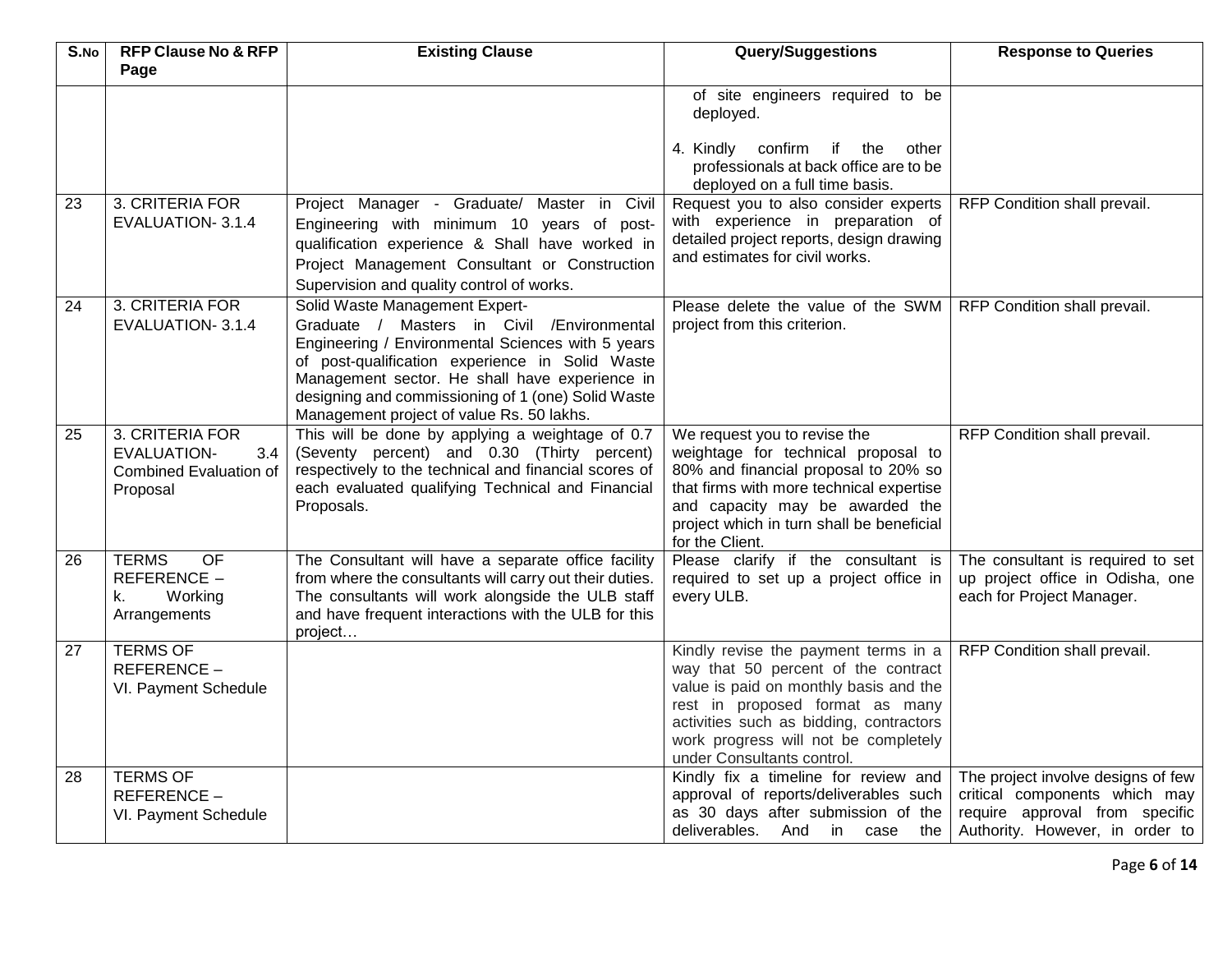| $\overline{S}$ .No | <b>RFP Clause No &amp; RFP</b><br>Page                                                    | <b>Existing Clause</b>                                                                                                                                                                                                                                                                                                                     | <b>Query/Suggestions</b>                                                                                                                                                                                                                                                  | <b>Response to Queries</b>                                                                                                               |
|--------------------|-------------------------------------------------------------------------------------------|--------------------------------------------------------------------------------------------------------------------------------------------------------------------------------------------------------------------------------------------------------------------------------------------------------------------------------------------|---------------------------------------------------------------------------------------------------------------------------------------------------------------------------------------------------------------------------------------------------------------------------|------------------------------------------------------------------------------------------------------------------------------------------|
|                    |                                                                                           |                                                                                                                                                                                                                                                                                                                                            | of site engineers required to be<br>deployed.<br>4. Kindly confirm if the<br>other<br>professionals at back office are to be<br>deployed on a full time basis.                                                                                                            |                                                                                                                                          |
| 23                 | 3. CRITERIA FOR<br>EVALUATION-3.1.4                                                       | Project Manager - Graduate/ Master in Civil<br>Engineering with minimum 10 years of post-<br>qualification experience & Shall have worked in<br>Project Management Consultant or Construction<br>Supervision and quality control of works.                                                                                                 | Request you to also consider experts<br>with experience in preparation of<br>detailed project reports, design drawing<br>and estimates for civil works.                                                                                                                   | RFP Condition shall prevail.                                                                                                             |
| 24                 | 3. CRITERIA FOR<br>EVALUATION-3.1.4                                                       | Solid Waste Management Expert-<br>Graduate / Masters in Civil / Environmental<br>Engineering / Environmental Sciences with 5 years<br>of post-qualification experience in Solid Waste<br>Management sector. He shall have experience in<br>designing and commissioning of 1 (one) Solid Waste<br>Management project of value Rs. 50 lakhs. | Please delete the value of the SWM<br>project from this criterion.                                                                                                                                                                                                        | RFP Condition shall prevail.                                                                                                             |
| 25                 | 3. CRITERIA FOR<br><b>EVALUATION-</b><br>3.4<br><b>Combined Evaluation of</b><br>Proposal | This will be done by applying a weightage of 0.7<br>(Seventy percent) and 0.30 (Thirty percent)<br>respectively to the technical and financial scores of<br>each evaluated qualifying Technical and Financial<br>Proposals.                                                                                                                | We request you to revise the<br>weightage for technical proposal to<br>80% and financial proposal to 20% so<br>that firms with more technical expertise<br>and capacity may be awarded the<br>project which in turn shall be beneficial<br>for the Client.                | RFP Condition shall prevail.                                                                                                             |
| 26                 | <b>TERMS</b><br><b>OF</b><br>REFERENCE -<br>Working<br>k.<br>Arrangements                 | The Consultant will have a separate office facility<br>from where the consultants will carry out their duties.<br>The consultants will work alongside the ULB staff<br>and have frequent interactions with the ULB for this<br>project                                                                                                     | Please clarify if the consultant is<br>required to set up a project office in<br>every ULB.                                                                                                                                                                               | The consultant is required to set<br>up project office in Odisha, one<br>each for Project Manager.                                       |
| 27                 | <b>TERMS OF</b><br>REFERENCE-<br>VI. Payment Schedule                                     |                                                                                                                                                                                                                                                                                                                                            | Kindly revise the payment terms in a<br>way that 50 percent of the contract<br>value is paid on monthly basis and the<br>rest in proposed format as many<br>activities such as bidding, contractors<br>work progress will not be completely<br>under Consultants control. | RFP Condition shall prevail.                                                                                                             |
| 28                 | <b>TERMS OF</b><br>REFERENCE-<br>VI. Payment Schedule                                     |                                                                                                                                                                                                                                                                                                                                            | Kindly fix a timeline for review and<br>approval of reports/deliverables such<br>as 30 days after submission of the<br>deliverables. And in case the                                                                                                                      | The project involve designs of few<br>critical components which may<br>require approval from specific<br>Authority. However, in order to |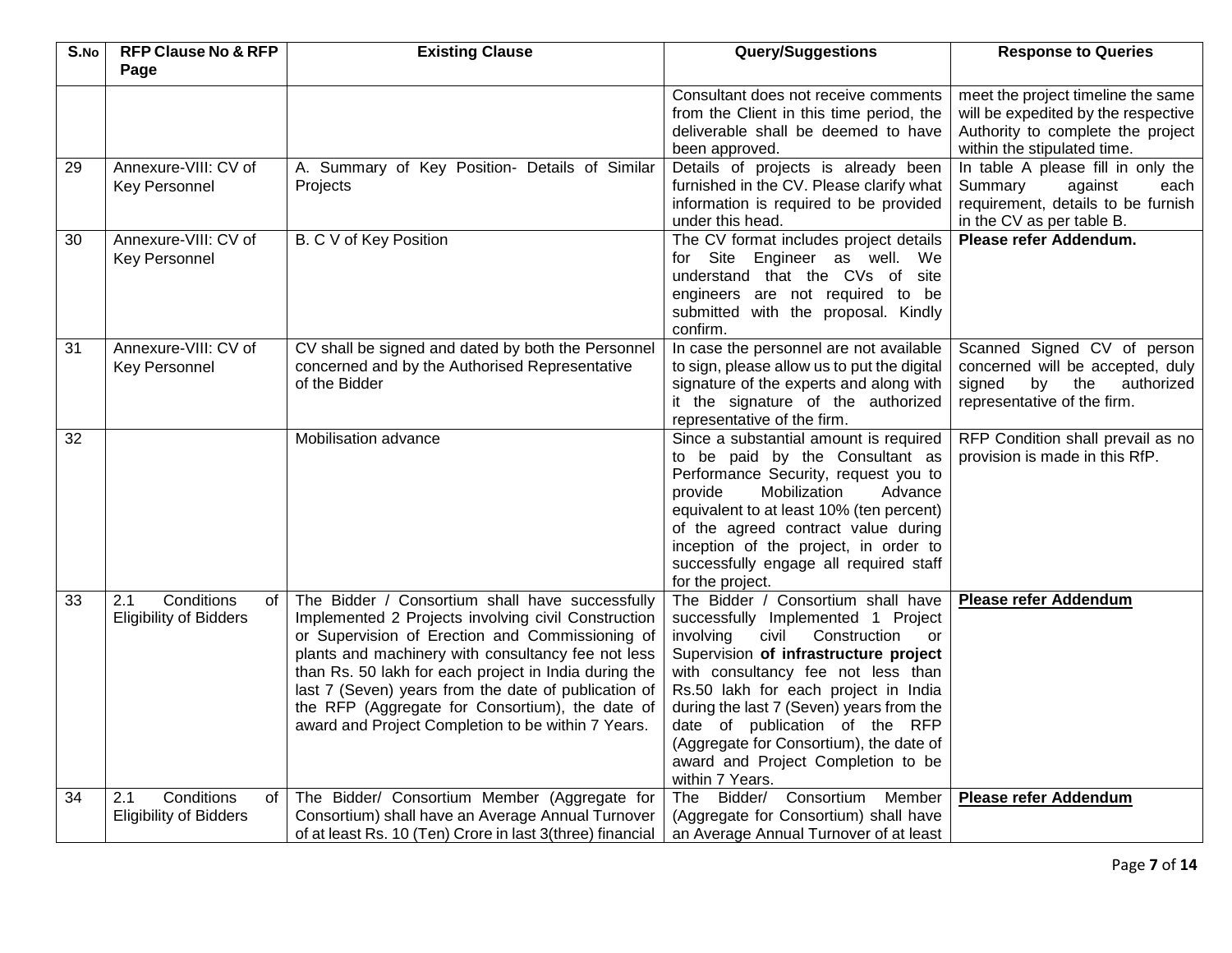| S.No | <b>RFP Clause No &amp; RFP</b>                           | <b>Existing Clause</b>                                                                                                                                                                                                                                                                                                                                                                                                                    | <b>Query/Suggestions</b>                                                                                                                                                                                                                                                                                                                                                                                                   | <b>Response to Queries</b>                                                                                                                    |
|------|----------------------------------------------------------|-------------------------------------------------------------------------------------------------------------------------------------------------------------------------------------------------------------------------------------------------------------------------------------------------------------------------------------------------------------------------------------------------------------------------------------------|----------------------------------------------------------------------------------------------------------------------------------------------------------------------------------------------------------------------------------------------------------------------------------------------------------------------------------------------------------------------------------------------------------------------------|-----------------------------------------------------------------------------------------------------------------------------------------------|
|      | Page                                                     |                                                                                                                                                                                                                                                                                                                                                                                                                                           |                                                                                                                                                                                                                                                                                                                                                                                                                            |                                                                                                                                               |
|      |                                                          |                                                                                                                                                                                                                                                                                                                                                                                                                                           | Consultant does not receive comments<br>from the Client in this time period, the<br>deliverable shall be deemed to have<br>been approved.                                                                                                                                                                                                                                                                                  | meet the project timeline the same<br>will be expedited by the respective<br>Authority to complete the project<br>within the stipulated time. |
| 29   | Annexure-VIII: CV of<br><b>Key Personnel</b>             | A. Summary of Key Position- Details of Similar<br>Projects                                                                                                                                                                                                                                                                                                                                                                                | Details of projects is already been<br>furnished in the CV. Please clarify what<br>information is required to be provided<br>under this head.                                                                                                                                                                                                                                                                              | In table A please fill in only the<br>Summary<br>against<br>each<br>requirement, details to be furnish<br>in the CV as per table B.           |
| 30   | Annexure-VIII: CV of<br><b>Key Personnel</b>             | B. C V of Key Position                                                                                                                                                                                                                                                                                                                                                                                                                    | The CV format includes project details<br>for Site Engineer as well. We<br>understand that the CVs of site<br>engineers are not required to be<br>submitted with the proposal. Kindly<br>confirm.                                                                                                                                                                                                                          | Please refer Addendum.                                                                                                                        |
| 31   | Annexure-VIII: CV of<br><b>Key Personnel</b>             | CV shall be signed and dated by both the Personnel<br>concerned and by the Authorised Representative<br>of the Bidder                                                                                                                                                                                                                                                                                                                     | In case the personnel are not available<br>to sign, please allow us to put the digital<br>signature of the experts and along with<br>it the signature of the authorized<br>representative of the firm.                                                                                                                                                                                                                     | Scanned Signed CV of person<br>concerned will be accepted, duly<br>by the<br>signed<br>authorized<br>representative of the firm.              |
| 32   |                                                          | Mobilisation advance                                                                                                                                                                                                                                                                                                                                                                                                                      | Since a substantial amount is required<br>to be paid by the Consultant as<br>Performance Security, request you to<br>Mobilization<br>Advance<br>provide<br>equivalent to at least 10% (ten percent)<br>of the agreed contract value during<br>inception of the project, in order to<br>successfully engage all required staff<br>for the project.                                                                          | RFP Condition shall prevail as no<br>provision is made in this RfP.                                                                           |
| 33   | Conditions<br>2.1<br>of<br><b>Eligibility of Bidders</b> | The Bidder / Consortium shall have successfully<br>Implemented 2 Projects involving civil Construction<br>or Supervision of Erection and Commissioning of<br>plants and machinery with consultancy fee not less<br>than Rs. 50 lakh for each project in India during the<br>last 7 (Seven) years from the date of publication of<br>the RFP (Aggregate for Consortium), the date of<br>award and Project Completion to be within 7 Years. | The Bidder / Consortium shall have<br>successfully Implemented 1 Project<br>involving<br>civil Construction<br>or<br>Supervision of infrastructure project<br>with consultancy fee not less than<br>Rs.50 lakh for each project in India<br>during the last 7 (Seven) years from the<br>date of publication of the RFP<br>(Aggregate for Consortium), the date of<br>award and Project Completion to be<br>within 7 Years. | <b>Please refer Addendum</b>                                                                                                                  |
| 34   | Conditions<br>2.1<br>of<br><b>Eligibility of Bidders</b> | The Bidder/ Consortium Member (Aggregate for<br>Consortium) shall have an Average Annual Turnover<br>of at least Rs. 10 (Ten) Crore in last 3(three) financial                                                                                                                                                                                                                                                                            | Bidder/ Consortium<br>Member<br>The<br>(Aggregate for Consortium) shall have<br>an Average Annual Turnover of at least                                                                                                                                                                                                                                                                                                     | <b>Please refer Addendum</b>                                                                                                                  |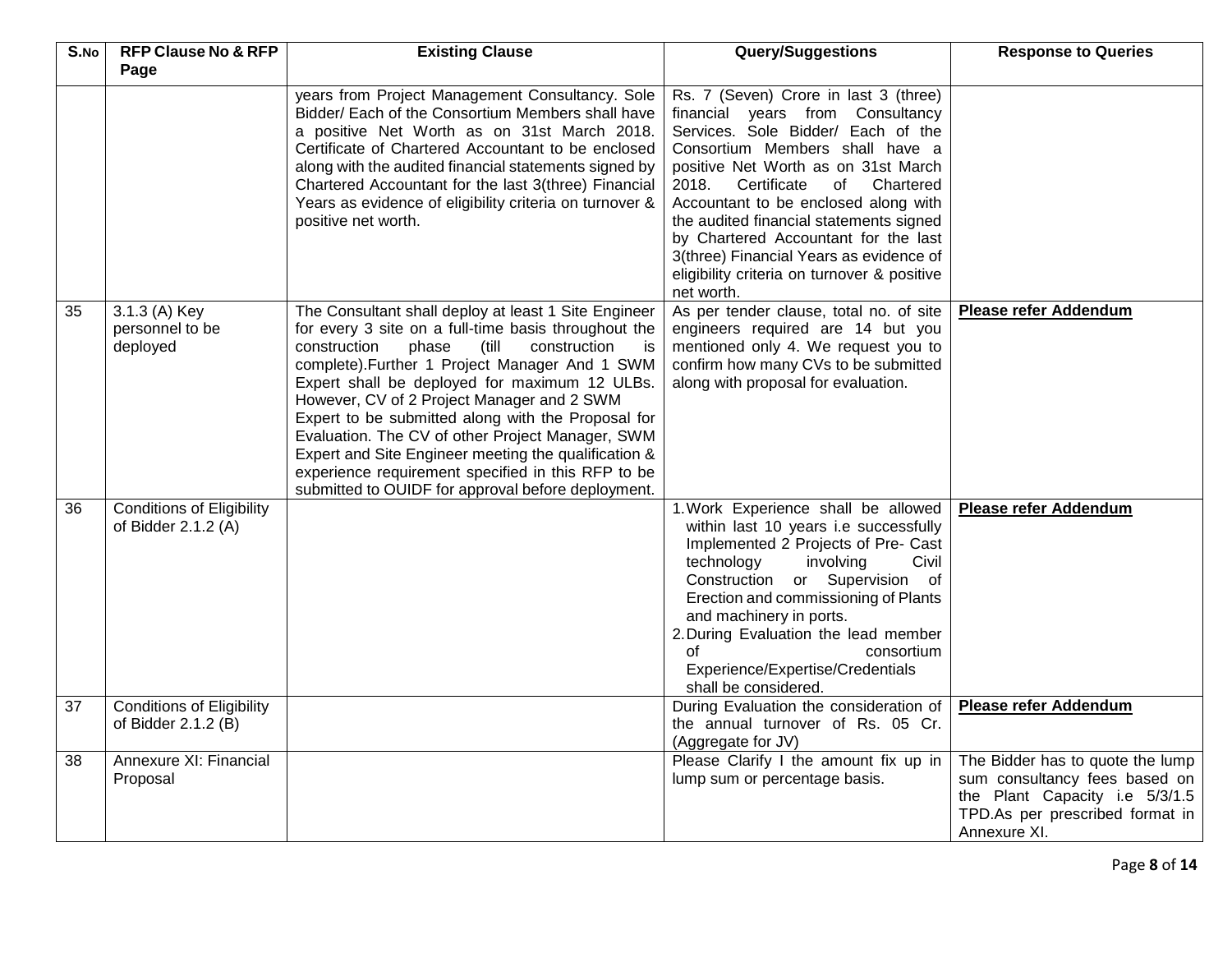| S.No | <b>RFP Clause No &amp; RFP</b>                          | <b>Existing Clause</b>                                                                                                                                                                                                                                                                                                                                                                                                                                                                                                                                                                              | Query/Suggestions                                                                                                                                                                                                                                                                                                                                                                                                                                                    | <b>Response to Queries</b>                                                                                                                             |  |  |  |
|------|---------------------------------------------------------|-----------------------------------------------------------------------------------------------------------------------------------------------------------------------------------------------------------------------------------------------------------------------------------------------------------------------------------------------------------------------------------------------------------------------------------------------------------------------------------------------------------------------------------------------------------------------------------------------------|----------------------------------------------------------------------------------------------------------------------------------------------------------------------------------------------------------------------------------------------------------------------------------------------------------------------------------------------------------------------------------------------------------------------------------------------------------------------|--------------------------------------------------------------------------------------------------------------------------------------------------------|--|--|--|
|      | Page                                                    |                                                                                                                                                                                                                                                                                                                                                                                                                                                                                                                                                                                                     |                                                                                                                                                                                                                                                                                                                                                                                                                                                                      |                                                                                                                                                        |  |  |  |
|      |                                                         | years from Project Management Consultancy. Sole<br>Bidder/ Each of the Consortium Members shall have<br>a positive Net Worth as on 31st March 2018.<br>Certificate of Chartered Accountant to be enclosed<br>along with the audited financial statements signed by<br>Chartered Accountant for the last 3(three) Financial<br>Years as evidence of eligibility criteria on turnover &<br>positive net worth.                                                                                                                                                                                        | Rs. 7 (Seven) Crore in last 3 (three)<br>financial years from Consultancy<br>Services. Sole Bidder/ Each of the<br>Consortium Members shall have a<br>positive Net Worth as on 31st March<br>2018.<br>Certificate<br>of Chartered<br>Accountant to be enclosed along with<br>the audited financial statements signed<br>by Chartered Accountant for the last<br>3(three) Financial Years as evidence of<br>eligibility criteria on turnover & positive<br>net worth. |                                                                                                                                                        |  |  |  |
| 35   | 3.1.3 (A) Key<br>personnel to be<br>deployed            | The Consultant shall deploy at least 1 Site Engineer<br>for every 3 site on a full-time basis throughout the<br>phase<br>construction<br>construction<br>(till<br>is<br>complete). Further 1 Project Manager And 1 SWM<br>Expert shall be deployed for maximum 12 ULBs.<br>However, CV of 2 Project Manager and 2 SWM<br>Expert to be submitted along with the Proposal for<br>Evaluation. The CV of other Project Manager, SWM<br>Expert and Site Engineer meeting the qualification &<br>experience requirement specified in this RFP to be<br>submitted to OUIDF for approval before deployment. | As per tender clause, total no. of site<br>engineers required are 14 but you<br>mentioned only 4. We request you to<br>confirm how many CVs to be submitted<br>along with proposal for evaluation.                                                                                                                                                                                                                                                                   | Please refer Addendum                                                                                                                                  |  |  |  |
| 36   | <b>Conditions of Eligibility</b><br>of Bidder 2.1.2 (A) |                                                                                                                                                                                                                                                                                                                                                                                                                                                                                                                                                                                                     | 1. Work Experience shall be allowed<br>within last 10 years i.e successfully<br>Implemented 2 Projects of Pre- Cast<br>technology<br>involving<br>Civil<br>Construction or Supervision of<br>Erection and commissioning of Plants<br>and machinery in ports.<br>2. During Evaluation the lead member<br>οf<br>consortium<br>Experience/Expertise/Credentials<br>shall be considered.                                                                                 | <b>Please refer Addendum</b>                                                                                                                           |  |  |  |
| 37   | <b>Conditions of Eligibility</b><br>of Bidder 2.1.2 (B) |                                                                                                                                                                                                                                                                                                                                                                                                                                                                                                                                                                                                     | During Evaluation the consideration of<br>the annual turnover of Rs. 05 Cr.<br>(Aggregate for JV)                                                                                                                                                                                                                                                                                                                                                                    | Please refer Addendum                                                                                                                                  |  |  |  |
| 38   | Annexure XI: Financial<br>Proposal                      |                                                                                                                                                                                                                                                                                                                                                                                                                                                                                                                                                                                                     | Please Clarify I the amount fix up in<br>lump sum or percentage basis.                                                                                                                                                                                                                                                                                                                                                                                               | The Bidder has to quote the lump<br>sum consultancy fees based on<br>the Plant Capacity i.e 5/3/1.5<br>TPD.As per prescribed format in<br>Annexure XI. |  |  |  |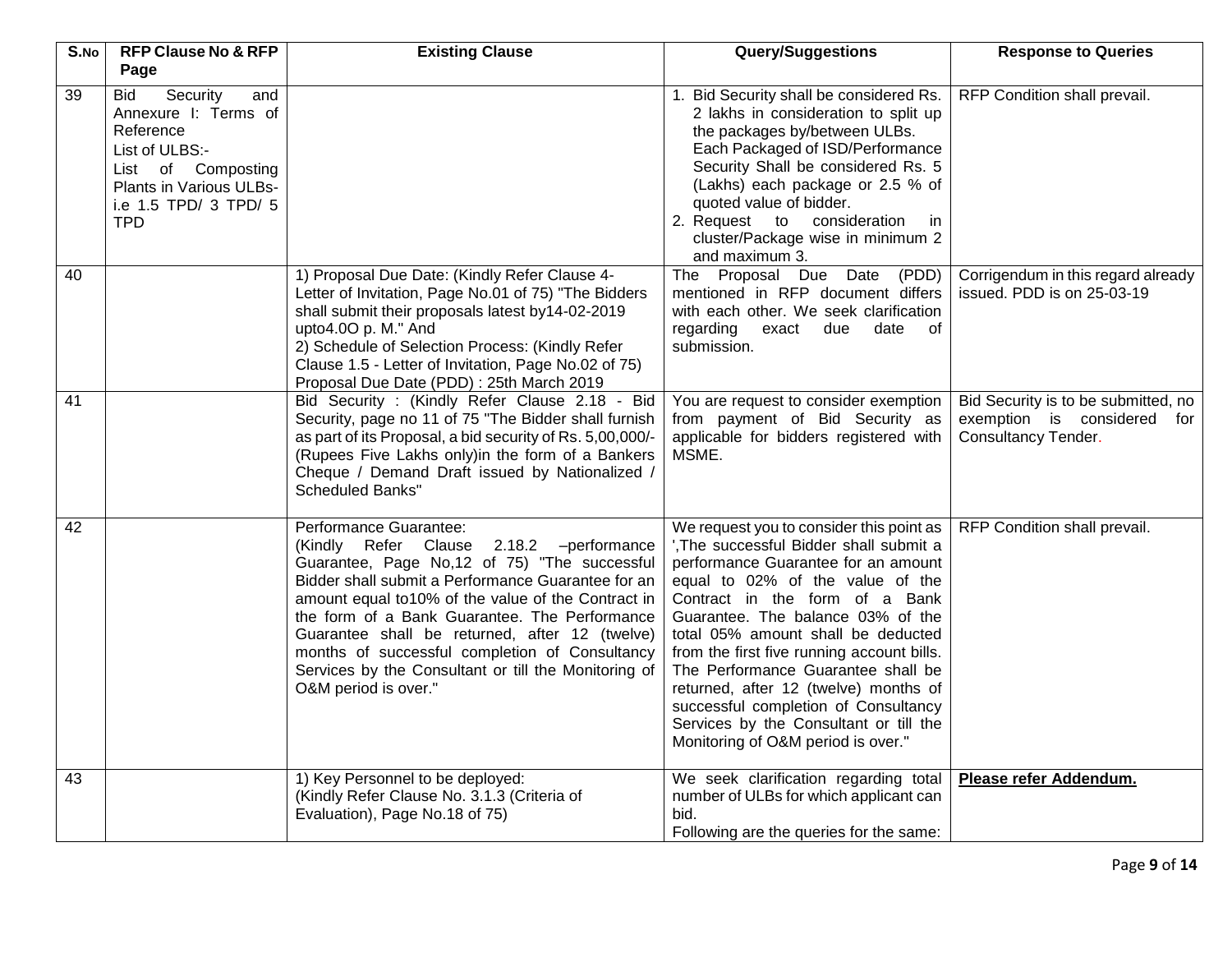| S.No | <b>RFP Clause No &amp; RFP</b><br>Page                                                                                                                         | <b>Existing Clause</b>                                                                                                                                                                                                                                                                                                                                                                                                                                               | <b>Query/Suggestions</b>                                                                                                                                                                                                                                                                                                                                                                                                                                                                                                         | <b>Response to Queries</b>                                                                |
|------|----------------------------------------------------------------------------------------------------------------------------------------------------------------|----------------------------------------------------------------------------------------------------------------------------------------------------------------------------------------------------------------------------------------------------------------------------------------------------------------------------------------------------------------------------------------------------------------------------------------------------------------------|----------------------------------------------------------------------------------------------------------------------------------------------------------------------------------------------------------------------------------------------------------------------------------------------------------------------------------------------------------------------------------------------------------------------------------------------------------------------------------------------------------------------------------|-------------------------------------------------------------------------------------------|
| 39   | Security<br>and<br>Bid<br>Annexure I: Terms of<br>Reference<br>List of ULBS:-<br>List of Composting<br>Plants in Various ULBs-<br>i.e 1.5 TPD/ 3 TPD/ 5<br>TPD |                                                                                                                                                                                                                                                                                                                                                                                                                                                                      | Bid Security shall be considered Rs.<br>2 lakhs in consideration to split up<br>the packages by/between ULBs.<br>Each Packaged of ISD/Performance<br>Security Shall be considered Rs. 5<br>(Lakhs) each package or 2.5 % of<br>quoted value of bidder.<br>2. Request to consideration<br>in.<br>cluster/Package wise in minimum 2<br>and maximum 3.                                                                                                                                                                              | RFP Condition shall prevail.                                                              |
| 40   |                                                                                                                                                                | 1) Proposal Due Date: (Kindly Refer Clause 4-<br>Letter of Invitation, Page No.01 of 75) "The Bidders<br>shall submit their proposals latest by14-02-2019<br>upto4.0O p. M." And<br>2) Schedule of Selection Process: (Kindly Refer<br>Clause 1.5 - Letter of Invitation, Page No.02 of 75)<br>Proposal Due Date (PDD): 25th March 2019                                                                                                                              | $\overline{(PDD)}$<br>The Proposal Due Date<br>mentioned in RFP document differs<br>with each other. We seek clarification<br>regarding<br>of<br>exact<br>due<br>date<br>submission.                                                                                                                                                                                                                                                                                                                                             | Corrigendum in this regard already<br>issued. PDD is on 25-03-19                          |
| 41   |                                                                                                                                                                | Bid Security : (Kindly Refer Clause 2.18 - Bid<br>Security, page no 11 of 75 "The Bidder shall furnish<br>as part of its Proposal, a bid security of Rs. 5,00,000/-<br>(Rupees Five Lakhs only)in the form of a Bankers<br>Cheque / Demand Draft issued by Nationalized /<br><b>Scheduled Banks"</b>                                                                                                                                                                 | You are request to consider exemption<br>from payment of Bid Security as<br>applicable for bidders registered with<br>MSME.                                                                                                                                                                                                                                                                                                                                                                                                      | Bid Security is to be submitted, no<br>exemption is considered for<br>Consultancy Tender. |
| 42   |                                                                                                                                                                | Performance Guarantee:<br>(Kindly Refer Clause 2.18.2 -performance<br>Guarantee, Page No,12 of 75) "The successful<br>Bidder shall submit a Performance Guarantee for an<br>amount equal to 10% of the value of the Contract in<br>the form of a Bank Guarantee. The Performance<br>Guarantee shall be returned, after 12 (twelve)<br>months of successful completion of Consultancy<br>Services by the Consultant or till the Monitoring of<br>O&M period is over." | We request you to consider this point as<br>', The successful Bidder shall submit a<br>performance Guarantee for an amount<br>equal to 02% of the value of the<br>Contract in the form of a Bank<br>Guarantee. The balance 03% of the<br>total 05% amount shall be deducted<br>from the first five running account bills.<br>The Performance Guarantee shall be<br>returned, after 12 (twelve) months of<br>successful completion of Consultancy<br>Services by the Consultant or till the<br>Monitoring of O&M period is over." | RFP Condition shall prevail.                                                              |
| 43   |                                                                                                                                                                | 1) Key Personnel to be deployed:<br>(Kindly Refer Clause No. 3.1.3 (Criteria of<br>Evaluation), Page No.18 of 75)                                                                                                                                                                                                                                                                                                                                                    | We seek clarification regarding total<br>number of ULBs for which applicant can<br>bid.<br>Following are the queries for the same:                                                                                                                                                                                                                                                                                                                                                                                               | Please refer Addendum.                                                                    |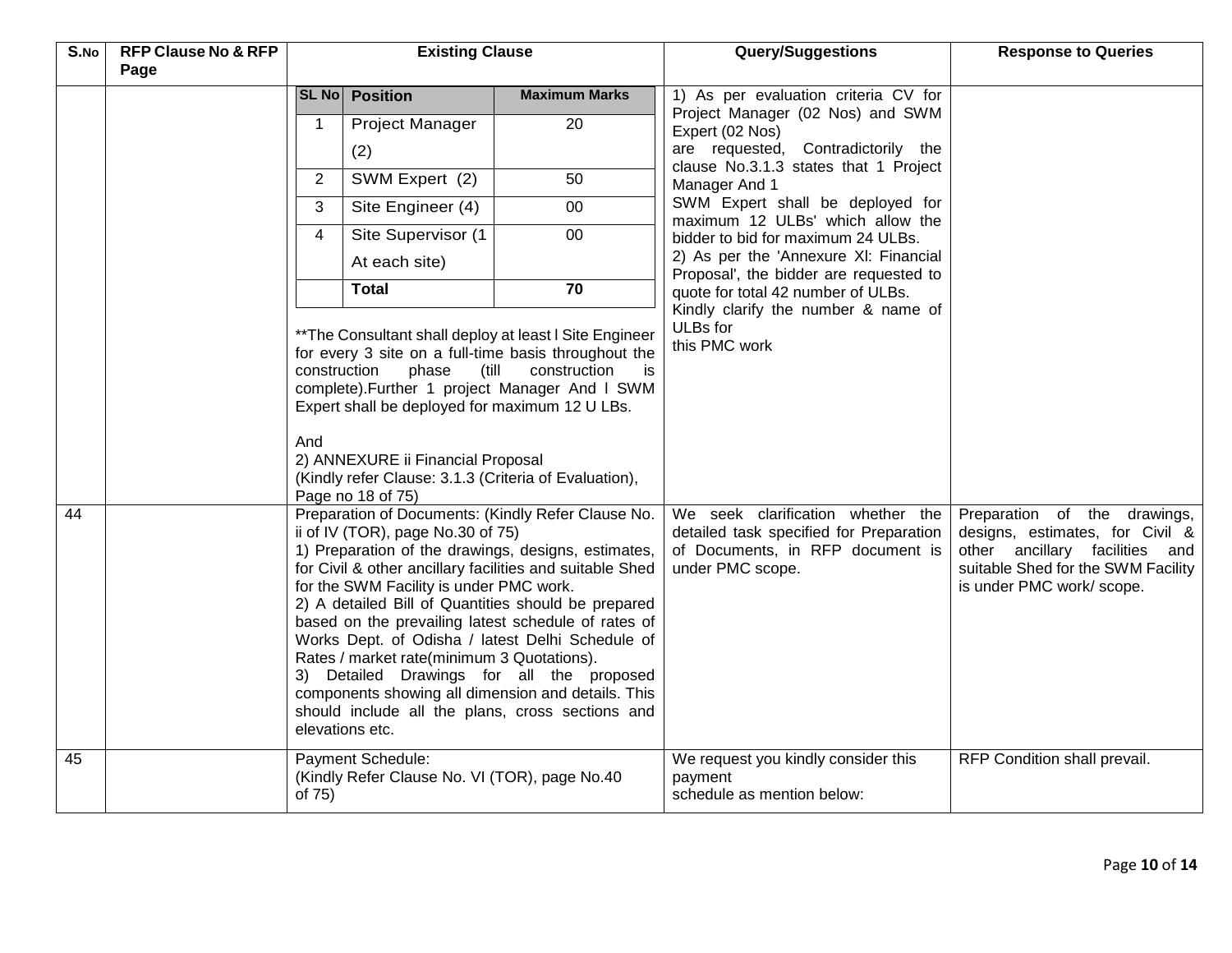| S.No | <b>RFP Clause No &amp; RFP</b><br>Page | <b>Existing Clause</b>                                                                                                                                                                                                                                                                                                                                                                                                                                                                                                                                                                                                                               |                                                                                                                                                                                      |                                                                                                                                                                                         | <b>Query/Suggestions</b>                                                                                                                                             | <b>Response to Queries</b>   |
|------|----------------------------------------|------------------------------------------------------------------------------------------------------------------------------------------------------------------------------------------------------------------------------------------------------------------------------------------------------------------------------------------------------------------------------------------------------------------------------------------------------------------------------------------------------------------------------------------------------------------------------------------------------------------------------------------------------|--------------------------------------------------------------------------------------------------------------------------------------------------------------------------------------|-----------------------------------------------------------------------------------------------------------------------------------------------------------------------------------------|----------------------------------------------------------------------------------------------------------------------------------------------------------------------|------------------------------|
|      |                                        |                                                                                                                                                                                                                                                                                                                                                                                                                                                                                                                                                                                                                                                      | SL No Position                                                                                                                                                                       | <b>Maximum Marks</b>                                                                                                                                                                    | 1) As per evaluation criteria CV for                                                                                                                                 |                              |
|      |                                        | 1                                                                                                                                                                                                                                                                                                                                                                                                                                                                                                                                                                                                                                                    | Project Manager<br>(2)                                                                                                                                                               | 20                                                                                                                                                                                      | Project Manager (02 Nos) and SWM<br>Expert (02 Nos)<br>are requested, Contradictorily the                                                                            |                              |
|      |                                        | $\overline{2}$                                                                                                                                                                                                                                                                                                                                                                                                                                                                                                                                                                                                                                       | SWM Expert (2)                                                                                                                                                                       | 50                                                                                                                                                                                      | clause No.3.1.3 states that 1 Project                                                                                                                                |                              |
|      |                                        | 3                                                                                                                                                                                                                                                                                                                                                                                                                                                                                                                                                                                                                                                    | Site Engineer (4)                                                                                                                                                                    | $00\,$                                                                                                                                                                                  | Manager And 1<br>SWM Expert shall be deployed for                                                                                                                    |                              |
|      |                                        | 4                                                                                                                                                                                                                                                                                                                                                                                                                                                                                                                                                                                                                                                    | Site Supervisor (1                                                                                                                                                                   | $00\,$                                                                                                                                                                                  | maximum 12 ULBs' which allow the<br>bidder to bid for maximum 24 ULBs.                                                                                               |                              |
|      |                                        |                                                                                                                                                                                                                                                                                                                                                                                                                                                                                                                                                                                                                                                      | At each site)                                                                                                                                                                        |                                                                                                                                                                                         | 2) As per the 'Annexure XI: Financial                                                                                                                                |                              |
|      |                                        |                                                                                                                                                                                                                                                                                                                                                                                                                                                                                                                                                                                                                                                      | <b>Total</b>                                                                                                                                                                         | 70                                                                                                                                                                                      | Proposal', the bidder are requested to<br>quote for total 42 number of ULBs.                                                                                         |                              |
|      |                                        |                                                                                                                                                                                                                                                                                                                                                                                                                                                                                                                                                                                                                                                      |                                                                                                                                                                                      |                                                                                                                                                                                         | Kindly clarify the number & name of                                                                                                                                  |                              |
|      |                                        | construction<br>And                                                                                                                                                                                                                                                                                                                                                                                                                                                                                                                                                                                                                                  | phase<br>(till)<br>Expert shall be deployed for maximum 12 U LBs.<br>2) ANNEXURE ii Financial Proposal<br>(Kindly refer Clause: 3.1.3 (Criteria of Evaluation),<br>Page no 18 of 75) | ** The Consultant shall deploy at least I Site Engineer<br>for every 3 site on a full-time basis throughout the<br>construction<br>is<br>complete). Further 1 project Manager And I SWM | ULBs for<br>this PMC work                                                                                                                                            |                              |
| 44   |                                        | Preparation of Documents: (Kindly Refer Clause No.<br>ii of IV (TOR), page $No.30$ of $75$ )<br>1) Preparation of the drawings, designs, estimates,<br>for Civil & other ancillary facilities and suitable Shed<br>for the SWM Facility is under PMC work.<br>2) A detailed Bill of Quantities should be prepared<br>based on the prevailing latest schedule of rates of<br>Works Dept. of Odisha / latest Delhi Schedule of<br>Rates / market rate(minimum 3 Quotations).<br>3) Detailed Drawings for all the proposed<br>components showing all dimension and details. This<br>should include all the plans, cross sections and<br>elevations etc. |                                                                                                                                                                                      | We seek clarification whether the<br>detailed task specified for Preparation<br>of Documents, in RFP document is<br>under PMC scope.                                                    | Preparation of the drawings,<br>designs, estimates, for Civil &<br>other ancillary facilities and<br>suitable Shed for the SWM Facility<br>is under PMC work/ scope. |                              |
| 45   |                                        | of 75)                                                                                                                                                                                                                                                                                                                                                                                                                                                                                                                                                                                                                                               | Payment Schedule:<br>(Kindly Refer Clause No. VI (TOR), page No.40                                                                                                                   |                                                                                                                                                                                         | We request you kindly consider this<br>payment<br>schedule as mention below:                                                                                         | RFP Condition shall prevail. |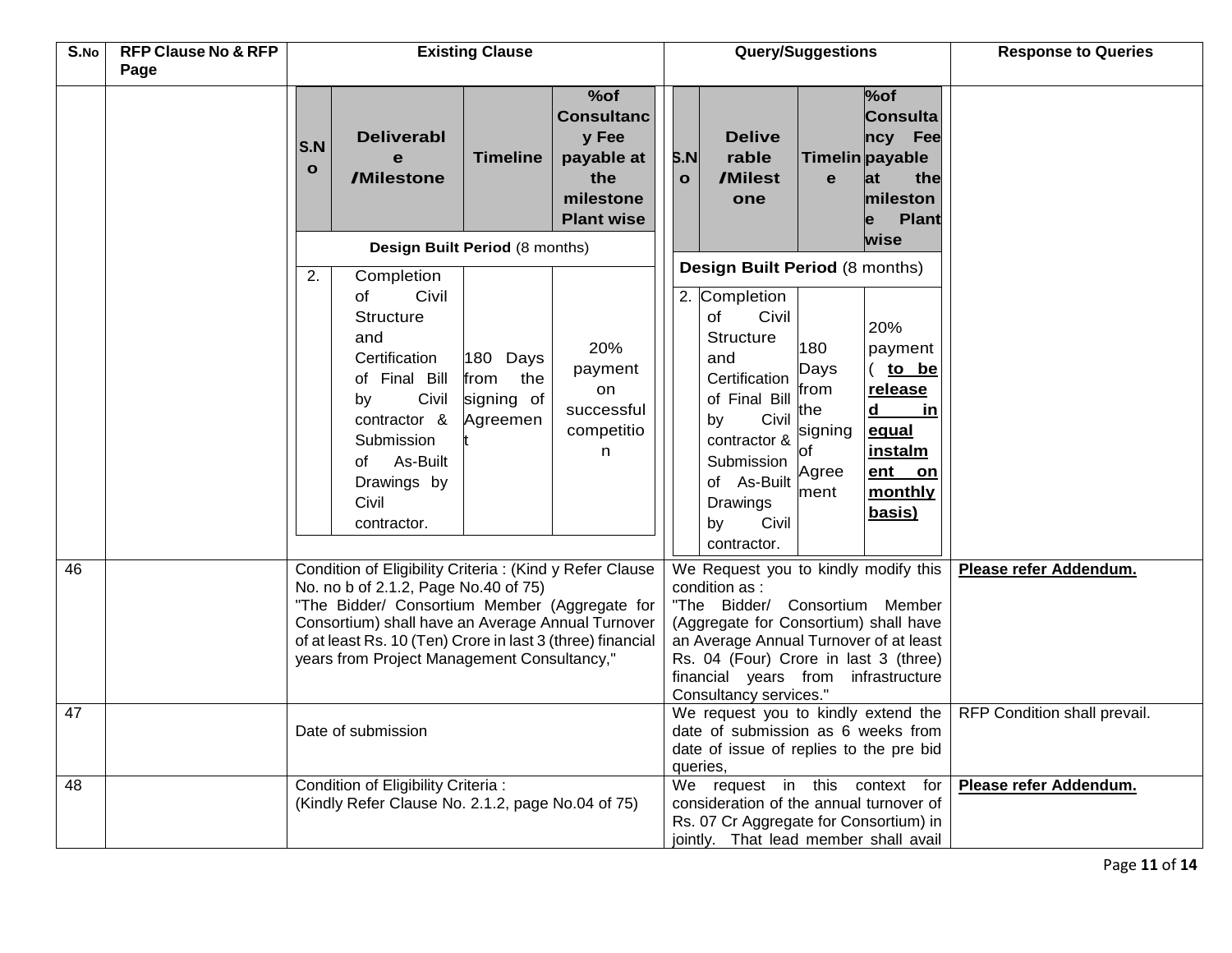| S.No | <b>RFP Clause No &amp; RFP</b><br>Page | <b>Existing Clause</b>                                                                                                                                                                                                                                                                                              |                                                   |                                                                                          |                     | Query/Suggestions                                                                                                                                                                                                                                                                     |                                                              |                                                                                                        | <b>Response to Queries</b>   |
|------|----------------------------------------|---------------------------------------------------------------------------------------------------------------------------------------------------------------------------------------------------------------------------------------------------------------------------------------------------------------------|---------------------------------------------------|------------------------------------------------------------------------------------------|---------------------|---------------------------------------------------------------------------------------------------------------------------------------------------------------------------------------------------------------------------------------------------------------------------------------|--------------------------------------------------------------|--------------------------------------------------------------------------------------------------------|------------------------------|
|      |                                        | <b>Deliverabl</b><br>S.N<br>e<br>$\mathbf{o}$<br><b>/Milestone</b>                                                                                                                                                                                                                                                  | <b>Timeline</b>                                   | %of<br><b>Consultanc</b><br>y Fee<br>payable at<br>the<br>milestone<br><b>Plant wise</b> | S.N<br>$\mathbf{o}$ | <b>Delive</b><br>rable<br>/Milest<br>one                                                                                                                                                                                                                                              | $\mathbf{e}$                                                 | $%$ of<br><b>Consulta</b><br>ncy Fee<br>Timelin payable<br>lat<br>the<br>mileston<br><b>Plant</b><br>e |                              |
|      |                                        |                                                                                                                                                                                                                                                                                                                     | Design Built Period (8 months)                    |                                                                                          |                     |                                                                                                                                                                                                                                                                                       |                                                              | wise                                                                                                   |                              |
|      |                                        | Completion<br>2.<br>Civil<br>of<br><b>Structure</b><br>and<br>Certification<br>of Final Bill<br>Civil<br>by<br>contractor &<br>Submission<br>of As-Built<br>Drawings by<br>Civil<br>contractor.                                                                                                                     | 180 Days<br>from<br>the<br>signing of<br>Agreemen | 20%<br>payment<br>on<br>successful<br>competitio<br>n                                    |                     | Design Built Period (8 months)<br>2. Completion<br>Civil<br>οf<br><b>Structure</b><br>and<br>Certification<br>of Final Bill<br>Civil<br>by<br>contractor &<br>Submission<br>of As-Built<br>Drawings<br>Civil<br>by<br>contractor.                                                     | 180<br>Days<br>from<br>the<br>signing<br>of<br>Agree<br>ment | 20%<br>payment<br>to be<br>release<br>d<br>in.<br>equal<br>instalm<br>ent on<br>monthly<br>basis)      |                              |
| 46   |                                        | Condition of Eligibility Criteria : (Kind y Refer Clause<br>No. no b of 2.1.2, Page No.40 of 75)<br>"The Bidder/ Consortium Member (Aggregate for<br>Consortium) shall have an Average Annual Turnover<br>of at least Rs. 10 (Ten) Crore in last 3 (three) financial<br>years from Project Management Consultancy," |                                                   |                                                                                          |                     | We Request you to kindly modify this<br>condition as :<br>"The Bidder/ Consortium Member<br>(Aggregate for Consortium) shall have<br>an Average Annual Turnover of at least<br>Rs. 04 (Four) Crore in last 3 (three)<br>financial years from infrastructure<br>Consultancy services." |                                                              |                                                                                                        | Please refer Addendum.       |
| 47   |                                        | Date of submission                                                                                                                                                                                                                                                                                                  |                                                   |                                                                                          | queries,            | We request you to kindly extend the<br>date of submission as 6 weeks from<br>date of issue of replies to the pre bid                                                                                                                                                                  |                                                              |                                                                                                        | RFP Condition shall prevail. |
| 48   |                                        | Condition of Eligibility Criteria :<br>(Kindly Refer Clause No. 2.1.2, page No.04 of 75)                                                                                                                                                                                                                            |                                                   |                                                                                          |                     | We request in this context for<br>consideration of the annual turnover of<br>Rs. 07 Cr Aggregate for Consortium) in<br>jointly. That lead member shall avail                                                                                                                          |                                                              |                                                                                                        | Please refer Addendum.       |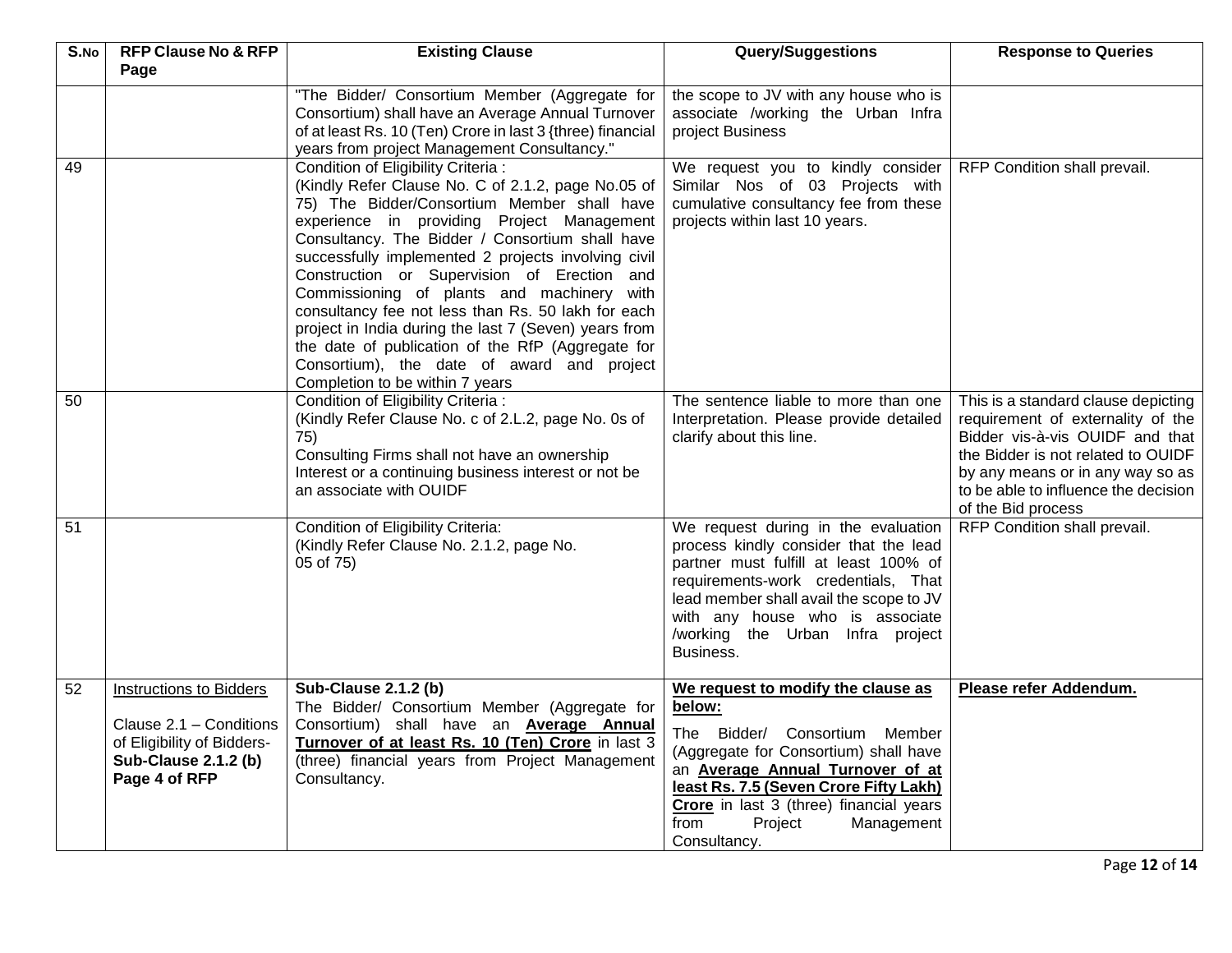| S.No | <b>RFP Clause No &amp; RFP</b>                                                                                                          | <b>Existing Clause</b>                                                                                                                                                                                                                                                                                                                                                                                                                                                                                                                                                                                                                             | <b>Response to Queries</b>                                                                                                                                                                                                                                                                                 |                                                                                                                                                                                                                                                     |
|------|-----------------------------------------------------------------------------------------------------------------------------------------|----------------------------------------------------------------------------------------------------------------------------------------------------------------------------------------------------------------------------------------------------------------------------------------------------------------------------------------------------------------------------------------------------------------------------------------------------------------------------------------------------------------------------------------------------------------------------------------------------------------------------------------------------|------------------------------------------------------------------------------------------------------------------------------------------------------------------------------------------------------------------------------------------------------------------------------------------------------------|-----------------------------------------------------------------------------------------------------------------------------------------------------------------------------------------------------------------------------------------------------|
|      | Page                                                                                                                                    | "The Bidder/ Consortium Member (Aggregate for<br>Consortium) shall have an Average Annual Turnover<br>of at least Rs. 10 (Ten) Crore in last 3 {three) financial<br>years from project Management Consultancy."                                                                                                                                                                                                                                                                                                                                                                                                                                    | the scope to JV with any house who is<br>associate /working the Urban Infra<br>project Business                                                                                                                                                                                                            |                                                                                                                                                                                                                                                     |
| 49   |                                                                                                                                         | Condition of Eligibility Criteria :<br>(Kindly Refer Clause No. C of 2.1.2, page No.05 of<br>75) The Bidder/Consortium Member shall have<br>experience in providing Project Management<br>Consultancy. The Bidder / Consortium shall have<br>successfully implemented 2 projects involving civil<br>Construction or Supervision of Erection and<br>Commissioning of plants and machinery with<br>consultancy fee not less than Rs. 50 lakh for each<br>project in India during the last 7 (Seven) years from<br>the date of publication of the RfP (Aggregate for<br>Consortium), the date of award and project<br>Completion to be within 7 years | We request you to kindly consider<br>Similar Nos of 03 Projects with<br>cumulative consultancy fee from these<br>projects within last 10 years.                                                                                                                                                            | RFP Condition shall prevail.                                                                                                                                                                                                                        |
| 50   |                                                                                                                                         | Condition of Eligibility Criteria :<br>(Kindly Refer Clause No. c of 2.L.2, page No. 0s of<br>75)<br>Consulting Firms shall not have an ownership<br>Interest or a continuing business interest or not be<br>an associate with OUIDF                                                                                                                                                                                                                                                                                                                                                                                                               | The sentence liable to more than one<br>Interpretation. Please provide detailed<br>clarify about this line.                                                                                                                                                                                                | This is a standard clause depicting<br>requirement of externality of the<br>Bidder vis-à-vis OUIDF and that<br>the Bidder is not related to OUIDF<br>by any means or in any way so as<br>to be able to influence the decision<br>of the Bid process |
| 51   |                                                                                                                                         | Condition of Eligibility Criteria:<br>(Kindly Refer Clause No. 2.1.2, page No.<br>05 of 75)                                                                                                                                                                                                                                                                                                                                                                                                                                                                                                                                                        | We request during in the evaluation<br>process kindly consider that the lead<br>partner must fulfill at least 100% of<br>requirements-work credentials, That<br>lead member shall avail the scope to JV<br>with any house who is associate<br>/working the Urban Infra project<br>Business.                | RFP Condition shall prevail.                                                                                                                                                                                                                        |
| 52   | <b>Instructions to Bidders</b><br>Clause 2.1 - Conditions<br>of Eligibility of Bidders-<br><b>Sub-Clause 2.1.2 (b)</b><br>Page 4 of RFP | <b>Sub-Clause 2.1.2 (b)</b><br>The Bidder/ Consortium Member (Aggregate for<br>Consortium) shall have an Average Annual<br>Turnover of at least Rs. 10 (Ten) Crore in last 3<br>(three) financial years from Project Management<br>Consultancy.                                                                                                                                                                                                                                                                                                                                                                                                    | We request to modify the clause as<br>below:<br>The Bidder/ Consortium<br>Member<br>(Aggregate for Consortium) shall have<br>an <b>Average Annual Turnover of at</b><br>least Rs. 7.5 (Seven Crore Fifty Lakh)<br>Crore in last 3 (three) financial years<br>from<br>Project<br>Management<br>Consultancy. | Please refer Addendum.                                                                                                                                                                                                                              |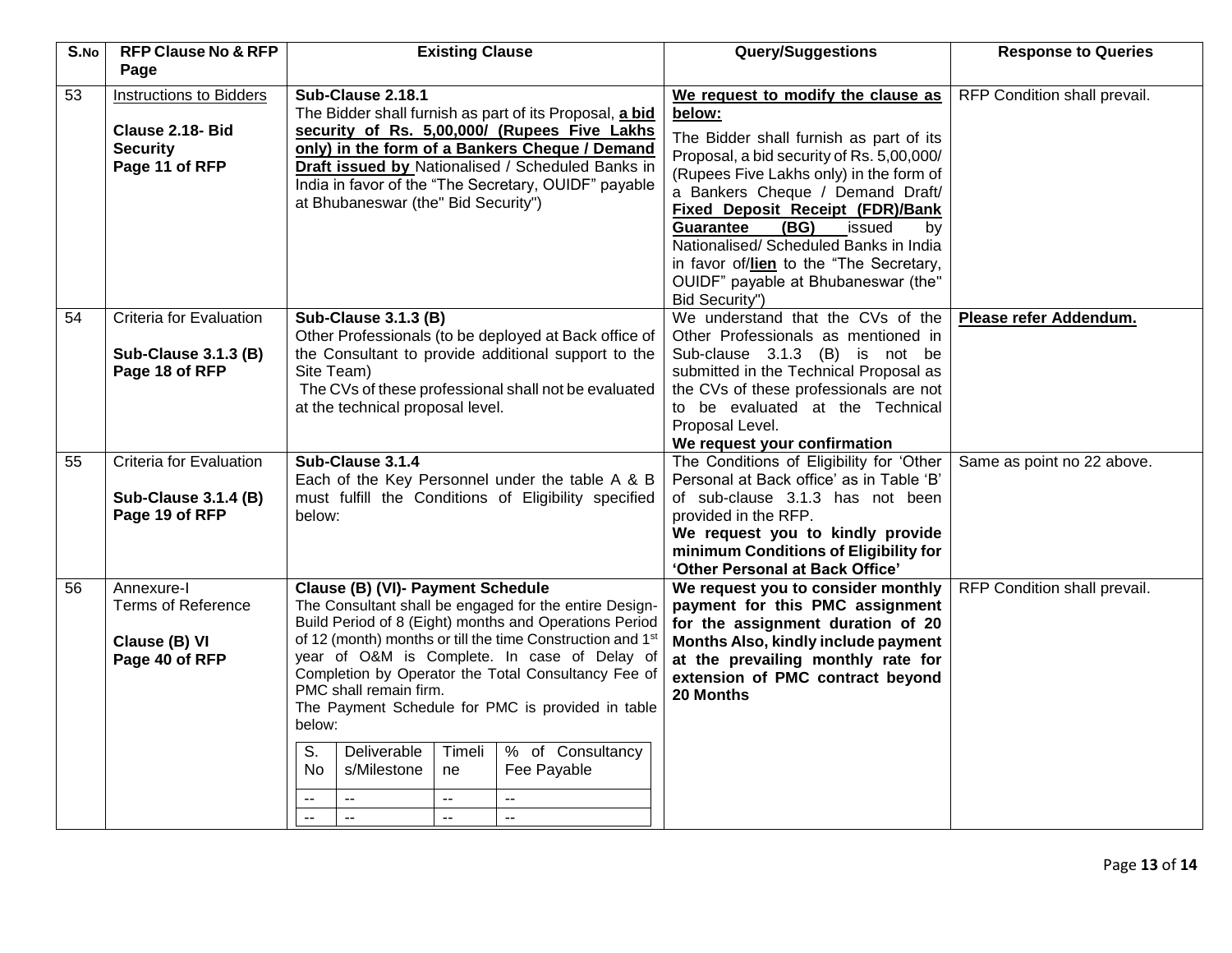| S.No | <b>RFP Clause No &amp; RFP</b> | <b>Existing Clause</b>                                                                                               |                          |                                                                                                     | <b>Query/Suggestions</b>                            | <b>Response to Queries</b>   |
|------|--------------------------------|----------------------------------------------------------------------------------------------------------------------|--------------------------|-----------------------------------------------------------------------------------------------------|-----------------------------------------------------|------------------------------|
|      | Page                           |                                                                                                                      |                          |                                                                                                     |                                                     |                              |
| 53   | <b>Instructions to Bidders</b> | Sub-Clause 2.18.1                                                                                                    |                          |                                                                                                     | We request to modify the clause as                  | RFP Condition shall prevail. |
|      |                                | The Bidder shall furnish as part of its Proposal, a bid                                                              |                          |                                                                                                     | below:                                              |                              |
|      | Clause 2.18- Bid               | security of Rs. 5,00,000/ (Rupees Five Lakhs                                                                         |                          |                                                                                                     | The Bidder shall furnish as part of its             |                              |
|      | <b>Security</b>                | only) in the form of a Bankers Cheque / Demand<br>Draft issued by Nationalised / Scheduled Banks in                  |                          |                                                                                                     | Proposal, a bid security of Rs. 5,00,000/           |                              |
|      | Page 11 of RFP                 |                                                                                                                      |                          |                                                                                                     | (Rupees Five Lakhs only) in the form of             |                              |
|      |                                |                                                                                                                      |                          | India in favor of the "The Secretary, OUIDF" payable                                                | a Bankers Cheque / Demand Draft/                    |                              |
|      |                                | at Bhubaneswar (the" Bid Security")                                                                                  |                          |                                                                                                     | Fixed Deposit Receipt (FDR)/Bank                    |                              |
|      |                                |                                                                                                                      |                          |                                                                                                     | (BG)<br>issued<br><b>Guarantee</b><br>bv            |                              |
|      |                                |                                                                                                                      |                          |                                                                                                     | Nationalised/ Scheduled Banks in India              |                              |
|      |                                |                                                                                                                      |                          |                                                                                                     | in favor of/lien to the "The Secretary,             |                              |
|      |                                |                                                                                                                      |                          |                                                                                                     | OUIDF" payable at Bhubaneswar (the"                 |                              |
|      |                                |                                                                                                                      |                          |                                                                                                     | Bid Security")                                      |                              |
| 54   | Criteria for Evaluation        | <b>Sub-Clause 3.1.3 (B)</b>                                                                                          |                          |                                                                                                     | We understand that the CVs of the                   | Please refer Addendum.       |
|      |                                |                                                                                                                      |                          | Other Professionals (to be deployed at Back office of                                               | Other Professionals as mentioned in                 |                              |
|      | <b>Sub-Clause 3.1.3 (B)</b>    |                                                                                                                      |                          | the Consultant to provide additional support to the                                                 | Sub-clause 3.1.3 (B) is not be                      |                              |
|      | Page 18 of RFP                 | Site Team)                                                                                                           |                          |                                                                                                     | submitted in the Technical Proposal as              |                              |
|      |                                | The CVs of these professional shall not be evaluated                                                                 |                          |                                                                                                     | the CVs of these professionals are not              |                              |
|      |                                | at the technical proposal level.                                                                                     |                          |                                                                                                     | to be evaluated at the Technical<br>Proposal Level. |                              |
|      |                                |                                                                                                                      |                          |                                                                                                     | We request your confirmation                        |                              |
| 55   | Criteria for Evaluation        | Sub-Clause 3.1.4                                                                                                     |                          |                                                                                                     | The Conditions of Eligibility for 'Other            | Same as point no 22 above.   |
|      |                                | Each of the Key Personnel under the table A & B<br>must fulfill the Conditions of Eligibility specified<br>below:    |                          |                                                                                                     | Personal at Back office' as in Table 'B'            |                              |
|      | Sub-Clause 3.1.4 (B)           |                                                                                                                      |                          |                                                                                                     | of sub-clause 3.1.3 has not been                    |                              |
|      | Page 19 of RFP                 |                                                                                                                      |                          |                                                                                                     | provided in the RFP.                                |                              |
|      |                                |                                                                                                                      |                          |                                                                                                     | We request you to kindly provide                    |                              |
|      |                                |                                                                                                                      |                          |                                                                                                     | minimum Conditions of Eligibility for               |                              |
|      |                                |                                                                                                                      |                          |                                                                                                     | 'Other Personal at Back Office'                     |                              |
| 56   | Annexure-I                     | Clause (B) (VI)- Payment Schedule                                                                                    |                          |                                                                                                     | We request you to consider monthly                  | RFP Condition shall prevail. |
|      | <b>Terms of Reference</b>      |                                                                                                                      |                          | The Consultant shall be engaged for the entire Design-                                              | payment for this PMC assignment                     |                              |
|      |                                | Build Period of 8 (Eight) months and Operations Period<br>of 12 (month) months or till the time Construction and 1st |                          |                                                                                                     | for the assignment duration of 20                   |                              |
|      | Clause (B) VI                  |                                                                                                                      |                          |                                                                                                     | Months Also, kindly include payment                 |                              |
|      | Page 40 of RFP                 |                                                                                                                      |                          | year of O&M is Complete. In case of Delay of<br>Completion by Operator the Total Consultancy Fee of | at the prevailing monthly rate for                  |                              |
|      |                                | PMC shall remain firm.                                                                                               |                          |                                                                                                     | extension of PMC contract beyond<br>20 Months       |                              |
|      |                                |                                                                                                                      |                          | The Payment Schedule for PMC is provided in table                                                   |                                                     |                              |
|      |                                | below:                                                                                                               |                          |                                                                                                     |                                                     |                              |
|      |                                | S.<br>Deliverable                                                                                                    | Timeli                   | % of Consultancy                                                                                    |                                                     |                              |
|      |                                | No.<br>s/Milestone                                                                                                   | ne                       | Fee Payable                                                                                         |                                                     |                              |
|      |                                |                                                                                                                      |                          |                                                                                                     |                                                     |                              |
|      |                                | $\overline{a}$<br>--                                                                                                 | $\overline{\phantom{a}}$ | $\mathbf{L}$                                                                                        |                                                     |                              |
|      |                                | u.<br>u.                                                                                                             | u.                       | $\overline{a}$                                                                                      |                                                     |                              |